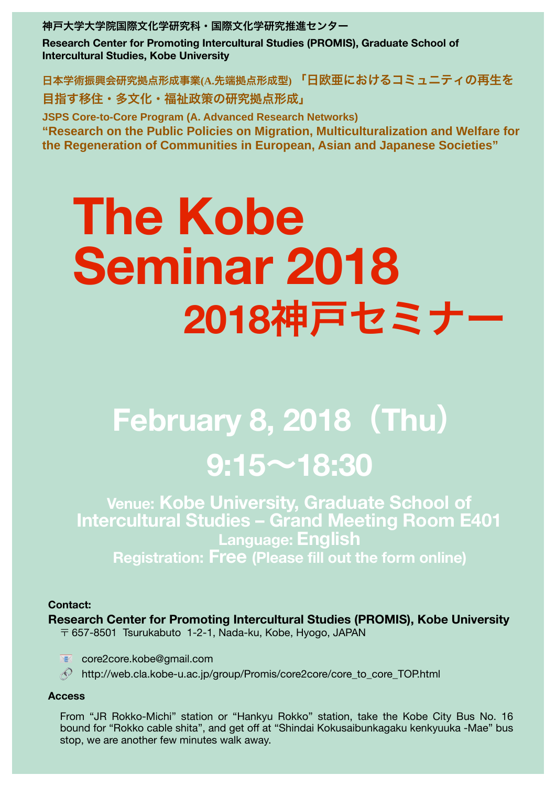### **Contact:**

# **Research Center for Promoting Intercultural Studies (PROMIS), Kobe University**   $\overline{\tau}$  657-8501 Tsurukabuto 1-2-1, Nada-ku, Kobe, Hyogo, JAPAN

## **EX** core2core.kobe@gmail.com

 $\oslash$  http://web.cla.kobe-u.ac.jp/group/Promis/core2core/core to core TOP.html

#### **Access**

From "JR Rokko-Michi" station or "Hankyu Rokko" station, take the Kobe City Bus No. 16 bound for "Rokko cable shita", and get off at "Shindai Kokusaibunkagaku kenkyuuka -Mae" bus stop, we are another few minutes walk away.

# **The Kobe Seminar 2018 2018**神戸セミナー

# **February 8, 2018**(**Thu**) **9:15**~**18:30**

**Venue: Kobe University, Graduate School of Intercultural Studies – Grand Meeting Room E401 Language: English Registration: Free (Please fill out the form online)**

神戸大学大学院国際文化学研究科・国際文化学研究推進センター

**Research Center for Promoting Intercultural Studies (PROMIS), Graduate School of Intercultural Studies, Kobe University** 

日本学術振興会研究拠点形成事業**(A.**先端拠点形成型**)** 「日欧亜におけるコミュニティの再生を 目指す移住・多文化・福祉政策の研究拠点形成」

**JSPS Core-to-Core Program (A. Advanced Research Networks)**

**"Research on the Public Policies on Migration, Multiculturalization and Welfare for the Regeneration of Communities in European, Asian and Japanese Societies"**